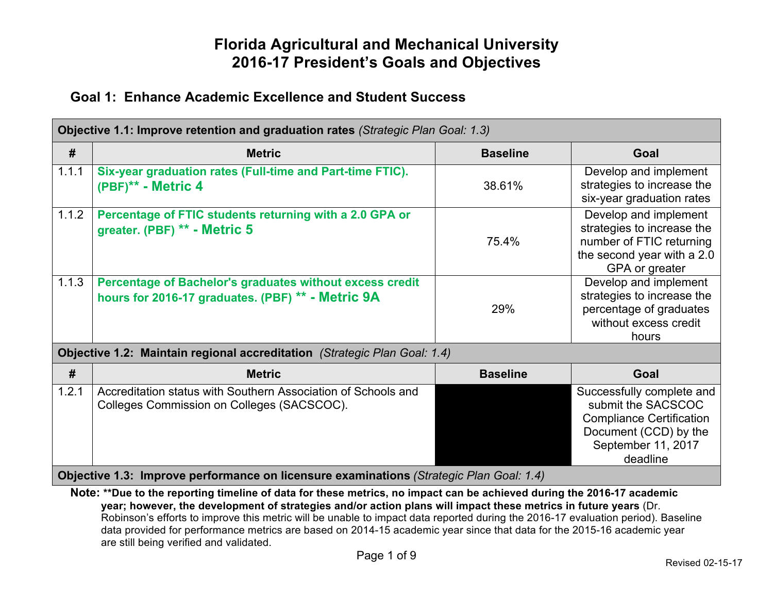### **Goal 1: Enhance Academic Excellence and Student Success**

| Objective 1.1: Improve retention and graduation rates (Strategic Plan Goal: 1.3) |                                                                                                               |                 |                                                                                                                                               |  |
|----------------------------------------------------------------------------------|---------------------------------------------------------------------------------------------------------------|-----------------|-----------------------------------------------------------------------------------------------------------------------------------------------|--|
| #                                                                                | <b>Metric</b>                                                                                                 | <b>Baseline</b> | <b>Goal</b>                                                                                                                                   |  |
| 1.1.1                                                                            | Six-year graduation rates (Full-time and Part-time FTIC).<br>(PBF)** - Metric 4                               | 38.61%          | Develop and implement<br>strategies to increase the<br>six-year graduation rates                                                              |  |
| 1.1.2                                                                            | Percentage of FTIC students returning with a 2.0 GPA or<br>greater. (PBF) ** - Metric 5                       | 75.4%           | Develop and implement<br>strategies to increase the<br>number of FTIC returning<br>the second year with a 2.0<br>GPA or greater               |  |
| 1.1.3                                                                            | Percentage of Bachelor's graduates without excess credit<br>hours for 2016-17 graduates. (PBF) ** - Metric 9A | 29%             | Develop and implement<br>strategies to increase the<br>percentage of graduates<br>without excess credit<br>hours                              |  |
|                                                                                  | Objective 1.2: Maintain regional accreditation (Strategic Plan Goal: 1.4)                                     |                 |                                                                                                                                               |  |
| #                                                                                | <b>Metric</b>                                                                                                 | <b>Baseline</b> | <b>Goal</b>                                                                                                                                   |  |
| 1.2.1                                                                            | Accreditation status with Southern Association of Schools and<br>Colleges Commission on Colleges (SACSCOC).   |                 | Successfully complete and<br>submit the SACSCOC<br><b>Compliance Certification</b><br>Document (CCD) by the<br>September 11, 2017<br>deadline |  |
|                                                                                  | Objective 1.3: Improve performance on licensure examinations (Strategic Plan Goal: 1.4)                       |                 |                                                                                                                                               |  |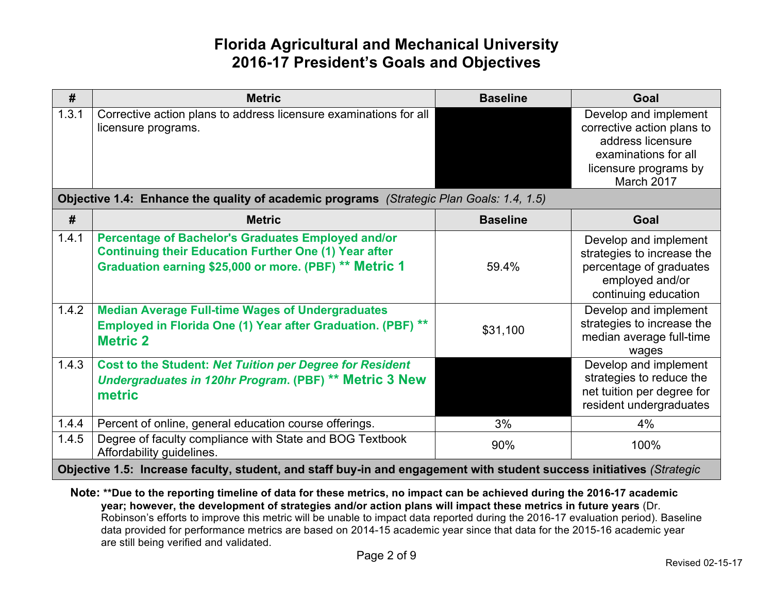| $\#$  | <b>Metric</b>                                                                                                                                                                | <b>Baseline</b> | Goal                                                                                                                                    |
|-------|------------------------------------------------------------------------------------------------------------------------------------------------------------------------------|-----------------|-----------------------------------------------------------------------------------------------------------------------------------------|
| 1.3.1 | Corrective action plans to address licensure examinations for all<br>licensure programs.                                                                                     |                 | Develop and implement<br>corrective action plans to<br>address licensure<br>examinations for all<br>licensure programs by<br>March 2017 |
|       | Objective 1.4: Enhance the quality of academic programs (Strategic Plan Goals: 1.4, 1.5)                                                                                     |                 |                                                                                                                                         |
| #     | <b>Metric</b>                                                                                                                                                                | <b>Baseline</b> | Goal                                                                                                                                    |
| 1.4.1 | Percentage of Bachelor's Graduates Employed and/or<br><b>Continuing their Education Further One (1) Year after</b><br>Graduation earning \$25,000 or more. (PBF) ** Metric 1 | 59.4%           | Develop and implement<br>strategies to increase the<br>percentage of graduates<br>employed and/or<br>continuing education               |
| 1.4.2 | <b>Median Average Full-time Wages of Undergraduates</b><br>Employed in Florida One (1) Year after Graduation. (PBF) **<br><b>Metric 2</b>                                    | \$31,100        | Develop and implement<br>strategies to increase the<br>median average full-time<br>wages                                                |
| 1.4.3 | <b>Cost to the Student: Net Tuition per Degree for Resident</b><br>Undergraduates in 120hr Program. (PBF) ** Metric 3 New<br>metric                                          |                 | Develop and implement<br>strategies to reduce the<br>net tuition per degree for<br>resident undergraduates                              |
| 1.4.4 | Percent of online, general education course offerings.                                                                                                                       | 3%              | 4%                                                                                                                                      |
| 1.4.5 | Degree of faculty compliance with State and BOG Textbook<br>Affordability guidelines.                                                                                        | 90%             | 100%                                                                                                                                    |
|       | Objective 1.5: Increase faculty, student, and staff buy-in and engagement with student success initiatives (Strategic                                                        |                 |                                                                                                                                         |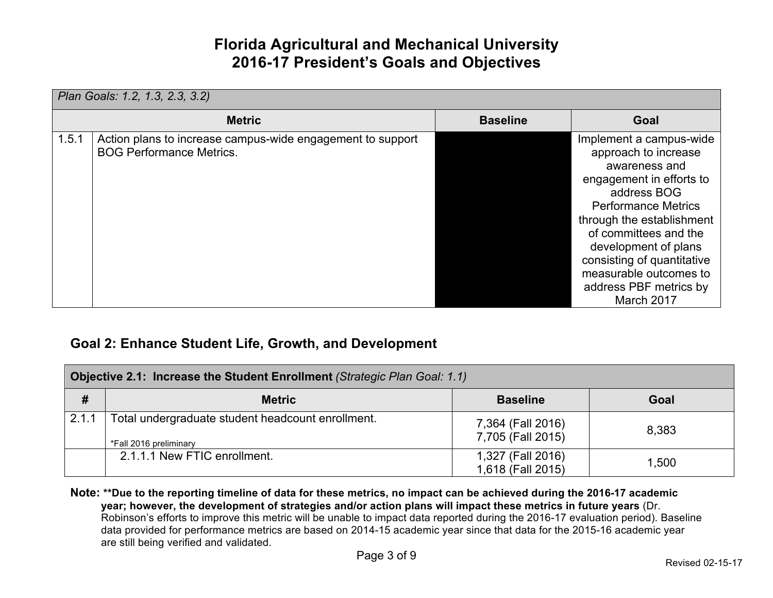| Plan Goals: 1.2, 1.3, 2.3, 3.2) |                                                                                               |                 |                                                                                                                                                                                                                                                                                                                         |
|---------------------------------|-----------------------------------------------------------------------------------------------|-----------------|-------------------------------------------------------------------------------------------------------------------------------------------------------------------------------------------------------------------------------------------------------------------------------------------------------------------------|
|                                 | <b>Metric</b>                                                                                 | <b>Baseline</b> | Goal                                                                                                                                                                                                                                                                                                                    |
| 1.5.1                           | Action plans to increase campus-wide engagement to support<br><b>BOG Performance Metrics.</b> |                 | Implement a campus-wide<br>approach to increase<br>awareness and<br>engagement in efforts to<br>address BOG<br><b>Performance Metrics</b><br>through the establishment<br>of committees and the<br>development of plans<br>consisting of quantitative<br>measurable outcomes to<br>address PBF metrics by<br>March 2017 |

### **Goal 2: Enhance Student Life, Growth, and Development**

| Objective 2.1: Increase the Student Enrollment (Strategic Plan Goal: 1.1) |                                                                             |                                        |       |
|---------------------------------------------------------------------------|-----------------------------------------------------------------------------|----------------------------------------|-------|
| #                                                                         | <b>Metric</b>                                                               | <b>Baseline</b>                        | Goal  |
| 2.1.1                                                                     | Total undergraduate student headcount enrollment.<br>*Fall 2016 preliminary | 7,364 (Fall 2016)<br>7,705 (Fall 2015) | 8,383 |
|                                                                           | 2.1.1.1 New FTIC enrollment.                                                | 1,327 (Fall 2016)<br>1,618 (Fall 2015) | 1,500 |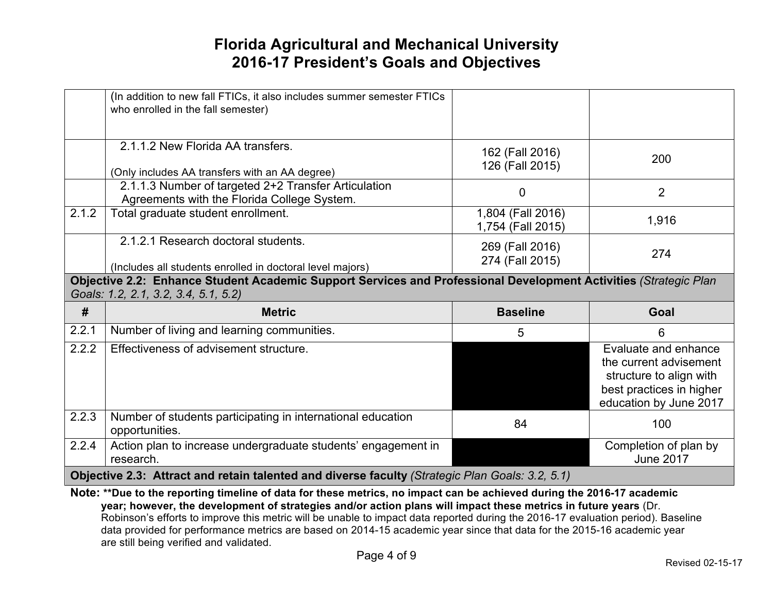|       | (In addition to new fall FTICs, it also includes summer semester FTICs<br>who enrolled in the fall semester)     |                                        |                                                                                                                                 |
|-------|------------------------------------------------------------------------------------------------------------------|----------------------------------------|---------------------------------------------------------------------------------------------------------------------------------|
|       | 2.1.1.2 New Florida AA transfers.<br>(Only includes AA transfers with an AA degree)                              | 162 (Fall 2016)<br>126 (Fall 2015)     | 200                                                                                                                             |
|       | 2.1.1.3 Number of targeted 2+2 Transfer Articulation<br>Agreements with the Florida College System.              | 0                                      | $\overline{2}$                                                                                                                  |
| 2.1.2 | Total graduate student enrollment.                                                                               | 1,804 (Fall 2016)<br>1,754 (Fall 2015) | 1,916                                                                                                                           |
|       | 2.1.2.1 Research doctoral students.<br>(Includes all students enrolled in doctoral level majors)                 | 269 (Fall 2016)<br>274 (Fall 2015)     | 274                                                                                                                             |
|       | Objective 2.2: Enhance Student Academic Support Services and Professional Development Activities (Strategic Plan |                                        |                                                                                                                                 |
|       | Goals: 1.2, 2.1, 3.2, 3.4, 5.1, 5.2)                                                                             |                                        |                                                                                                                                 |
| #     | <b>Metric</b>                                                                                                    | <b>Baseline</b>                        | Goal                                                                                                                            |
| 2.2.1 | Number of living and learning communities.                                                                       | 5                                      | 6                                                                                                                               |
| 2.2.2 | Effectiveness of advisement structure.                                                                           |                                        | Evaluate and enhance<br>the current advisement<br>structure to align with<br>best practices in higher<br>education by June 2017 |
| 2.2.3 | Number of students participating in international education<br>opportunities.                                    | 84                                     | 100                                                                                                                             |
| 2.2.4 | Action plan to increase undergraduate students' engagement in<br>research.                                       |                                        | Completion of plan by<br><b>June 2017</b>                                                                                       |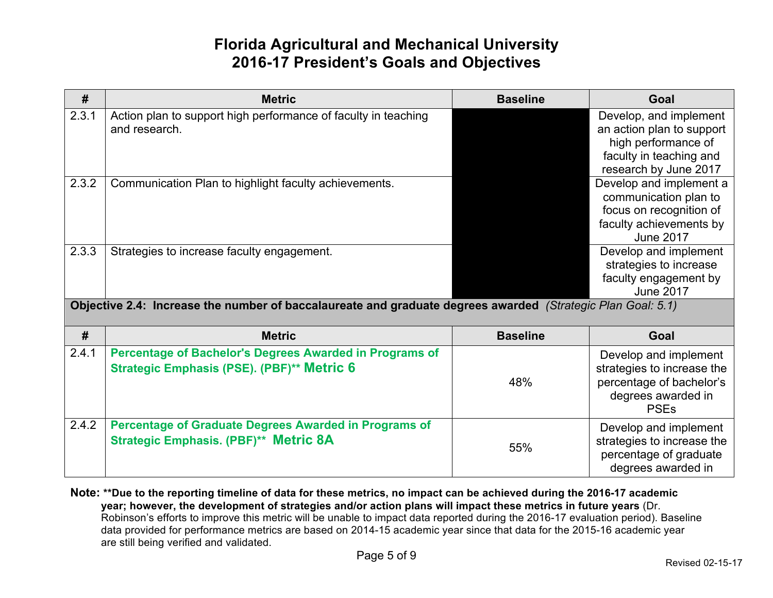| #     | <b>Metric</b>                                                                                                | <b>Baseline</b> | Goal                                                                                                                           |
|-------|--------------------------------------------------------------------------------------------------------------|-----------------|--------------------------------------------------------------------------------------------------------------------------------|
| 2.3.1 | Action plan to support high performance of faculty in teaching<br>and research.                              |                 | Develop, and implement<br>an action plan to support<br>high performance of<br>faculty in teaching and<br>research by June 2017 |
| 2.3.2 | Communication Plan to highlight faculty achievements.                                                        |                 | Develop and implement a<br>communication plan to<br>focus on recognition of<br>faculty achievements by<br><b>June 2017</b>     |
| 2.3.3 | Strategies to increase faculty engagement.                                                                   |                 | Develop and implement<br>strategies to increase<br>faculty engagement by<br><b>June 2017</b>                                   |
|       | Objective 2.4: Increase the number of baccalaureate and graduate degrees awarded (Strategic Plan Goal: 5.1)  |                 |                                                                                                                                |
| #     | <b>Metric</b>                                                                                                | <b>Baseline</b> | Goal                                                                                                                           |
| 2.4.1 | Percentage of Bachelor's Degrees Awarded in Programs of<br>Strategic Emphasis (PSE). (PBF)** Metric 6        | 48%             | Develop and implement<br>strategies to increase the<br>percentage of bachelor's<br>degrees awarded in<br><b>PSEs</b>           |
| 2.4.2 | <b>Percentage of Graduate Degrees Awarded in Programs of</b><br><b>Strategic Emphasis. (PBF)** Metric 8A</b> | 55%             | Develop and implement<br>strategies to increase the<br>percentage of graduate<br>degrees awarded in                            |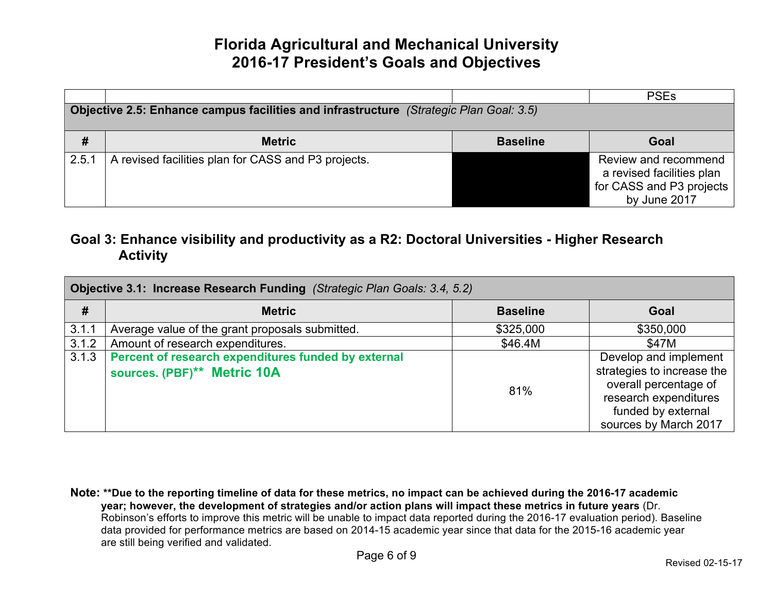|                                                                                        |                                                     |                 | <b>PSEs</b>                                                                                   |  |
|----------------------------------------------------------------------------------------|-----------------------------------------------------|-----------------|-----------------------------------------------------------------------------------------------|--|
| Objective 2.5: Enhance campus facilities and infrastructure (Strategic Plan Goal: 3.5) |                                                     |                 |                                                                                               |  |
| #                                                                                      | <b>Metric</b>                                       | <b>Baseline</b> | Goal                                                                                          |  |
| 2.5.1                                                                                  | A revised facilities plan for CASS and P3 projects. |                 | Review and recommend<br>a revised facilities plan<br>for CASS and P3 projects<br>by June 2017 |  |

### **Goal 3: Enhance visibility and productivity as a R2: Doctoral Universities - Higher Research Activity**

| Objective 3.1: Increase Research Funding (Strategic Plan Goals: 3.4, 5.2) |                                                                                    |                 |                                                                                                                                                      |
|---------------------------------------------------------------------------|------------------------------------------------------------------------------------|-----------------|------------------------------------------------------------------------------------------------------------------------------------------------------|
| #                                                                         | <b>Metric</b>                                                                      | <b>Baseline</b> | Goal                                                                                                                                                 |
| 3.1.1                                                                     | Average value of the grant proposals submitted.                                    | \$325,000       | \$350,000                                                                                                                                            |
| 3.1.2                                                                     | Amount of research expenditures.                                                   | \$46.4M         | \$47M                                                                                                                                                |
| 3.1.3                                                                     | Percent of research expenditures funded by external<br>sources. (PBF)** Metric 10A | 81%             | Develop and implement<br>strategies to increase the<br>overall percentage of<br>research expenditures<br>funded by external<br>sources by March 2017 |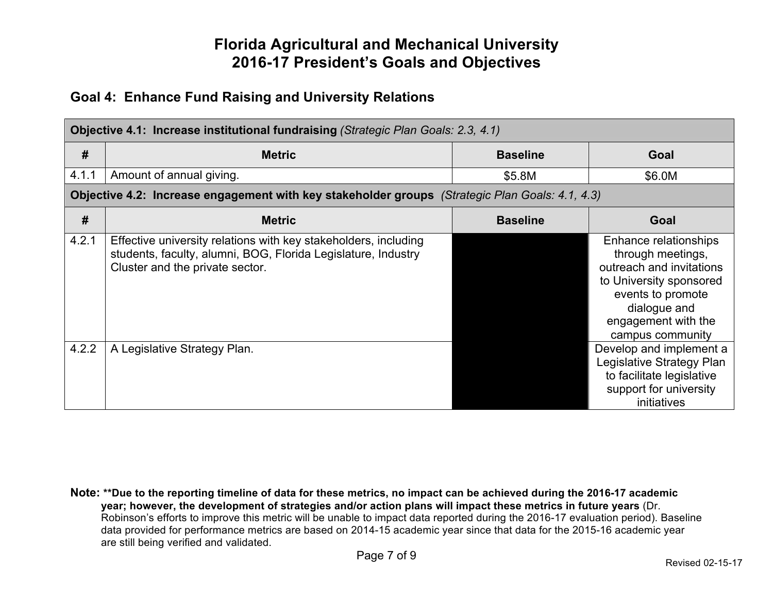### **Goal 4: Enhance Fund Raising and University Relations**

|       | Objective 4.1: Increase institutional fundraising (Strategic Plan Goals: 2.3, 4.1)                                                                                  |                 |                                                                                                                                                                                   |  |
|-------|---------------------------------------------------------------------------------------------------------------------------------------------------------------------|-----------------|-----------------------------------------------------------------------------------------------------------------------------------------------------------------------------------|--|
| #     | <b>Metric</b>                                                                                                                                                       | <b>Baseline</b> | Goal                                                                                                                                                                              |  |
| 4.1.1 | Amount of annual giving.                                                                                                                                            | \$5.8M          | \$6.0M                                                                                                                                                                            |  |
|       | Objective 4.2: Increase engagement with key stakeholder groups (Strategic Plan Goals: 4.1, 4.3)                                                                     |                 |                                                                                                                                                                                   |  |
| #     | <b>Metric</b>                                                                                                                                                       | <b>Baseline</b> | Goal                                                                                                                                                                              |  |
| 4.2.1 | Effective university relations with key stakeholders, including<br>students, faculty, alumni, BOG, Florida Legislature, Industry<br>Cluster and the private sector. |                 | Enhance relationships<br>through meetings,<br>outreach and invitations<br>to University sponsored<br>events to promote<br>dialogue and<br>engagement with the<br>campus community |  |
| 4.2.2 | A Legislative Strategy Plan.                                                                                                                                        |                 | Develop and implement a<br>Legislative Strategy Plan<br>to facilitate legislative<br>support for university<br>initiatives                                                        |  |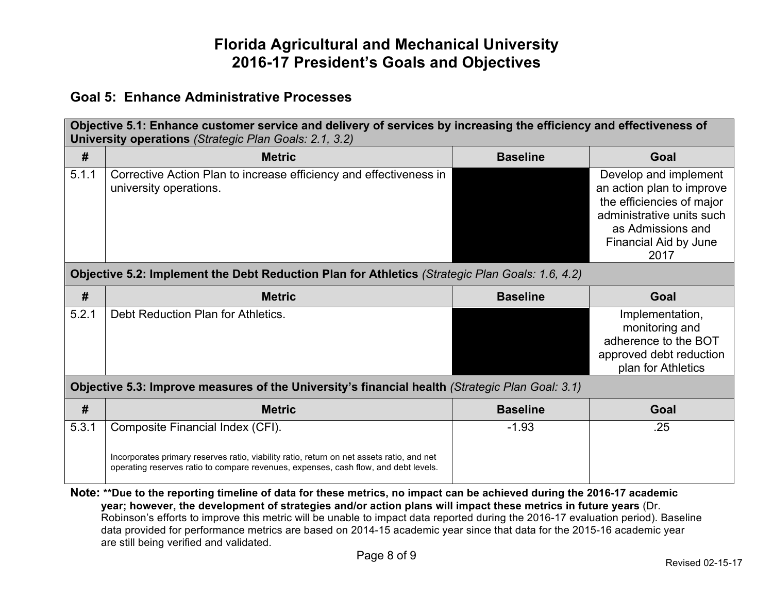#### **Goal 5: Enhance Administrative Processes**

| Objective 5.1: Enhance customer service and delivery of services by increasing the efficiency and effectiveness of<br>University operations (Strategic Plan Goals: 2.1, 3.2) |                                                                                                                                                                                                                                           |                 |                                                                                                                                                                    |
|------------------------------------------------------------------------------------------------------------------------------------------------------------------------------|-------------------------------------------------------------------------------------------------------------------------------------------------------------------------------------------------------------------------------------------|-----------------|--------------------------------------------------------------------------------------------------------------------------------------------------------------------|
| #                                                                                                                                                                            | <b>Metric</b>                                                                                                                                                                                                                             | <b>Baseline</b> | Goal                                                                                                                                                               |
| 5.1.1                                                                                                                                                                        | Corrective Action Plan to increase efficiency and effectiveness in<br>university operations.                                                                                                                                              |                 | Develop and implement<br>an action plan to improve<br>the efficiencies of major<br>administrative units such<br>as Admissions and<br>Financial Aid by June<br>2017 |
|                                                                                                                                                                              | Objective 5.2: Implement the Debt Reduction Plan for Athletics (Strategic Plan Goals: 1.6, 4.2)                                                                                                                                           |                 |                                                                                                                                                                    |
| #                                                                                                                                                                            | <b>Metric</b>                                                                                                                                                                                                                             | <b>Baseline</b> | Goal                                                                                                                                                               |
| 5.2.1                                                                                                                                                                        | Debt Reduction Plan for Athletics.                                                                                                                                                                                                        |                 | Implementation,<br>monitoring and<br>adherence to the BOT<br>approved debt reduction<br>plan for Athletics                                                         |
|                                                                                                                                                                              | Objective 5.3: Improve measures of the University's financial health (Strategic Plan Goal: 3.1)                                                                                                                                           |                 |                                                                                                                                                                    |
| #                                                                                                                                                                            | <b>Metric</b>                                                                                                                                                                                                                             | <b>Baseline</b> | Goal                                                                                                                                                               |
| 5.3.1                                                                                                                                                                        | Composite Financial Index (CFI).                                                                                                                                                                                                          | $-1.93$         | .25                                                                                                                                                                |
|                                                                                                                                                                              | Incorporates primary reserves ratio, viability ratio, return on net assets ratio, and net<br>operating reserves ratio to compare revenues, expenses, cash flow, and debt levels.                                                          |                 |                                                                                                                                                                    |
|                                                                                                                                                                              | Note: **Due to the reporting timeline of data for these metrics, no impact can be achieved during the 2016-17 academic<br>year; however, the development of strategies and/or action plans will impact these metrics in future years (Dr. |                 |                                                                                                                                                                    |

Robinson's efforts to improve this metric will be unable to impact data reported during the 2016-17 evaluation period). Baseline data provided for performance metrics are based on 2014-15 academic year since that data for the 2015-16 academic year are still being verified and validated.